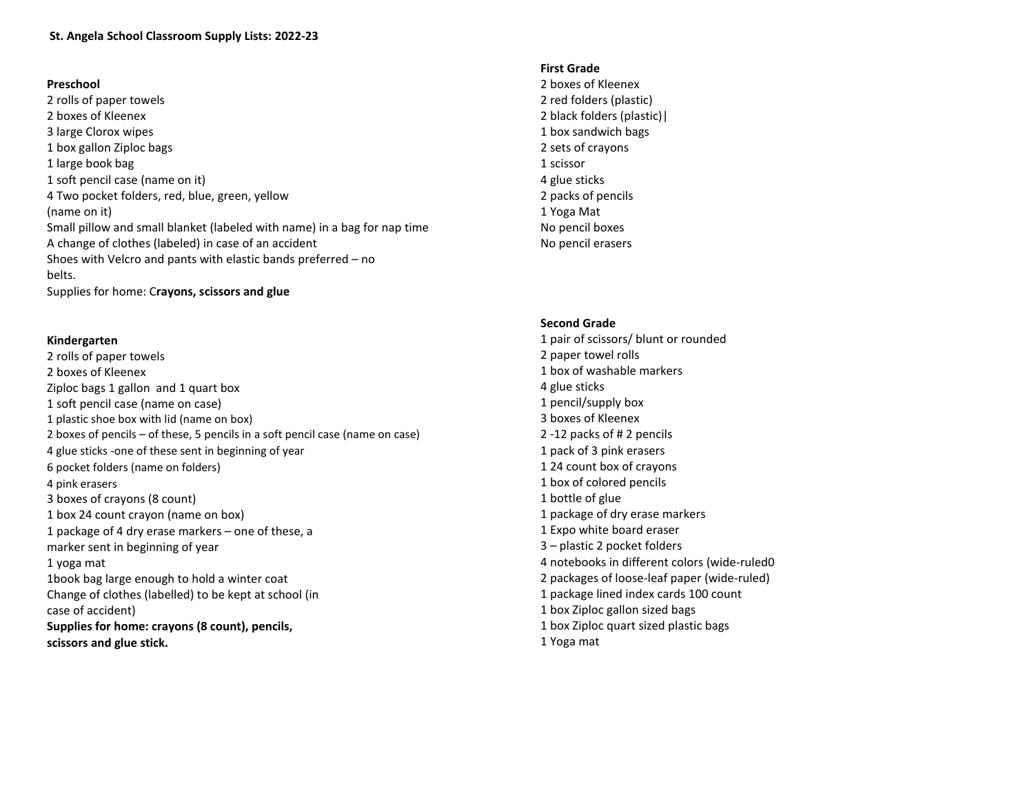## **St. Angela School Classroom Supply Lists: 2022-23**

#### **Preschool**

2 rolls of paper towels 2 boxes of Kleenex 3 large Clorox wipes 1 box gallon Ziploc bags 1 large book bag 1 soft pencil case (name on it) 4 Two pocket folders, red, blue, green, yellow (name on it) Small pillow and small blanket (labeled with name) in a bag for nap time A change of clothes (labeled) in case of an accident Shoes with Velcro and pants with elastic bands preferred – no belts. Supplies for home: C**rayons, scissors and glue**

## **Kindergarten**

2 rolls of paper towels 2 boxes of Kleenex Ziploc bags 1 gallon and 1 quart box 1 soft pencil case (name on case) 1 plastic shoe box with lid (name on box) 2 boxes of pencils – of these, 5 pencils in a soft pencil case (name on case) 4 glue sticks -one of these sent in beginning of year 6 pocket folders (name on folders) 4 pink erasers 3 boxes of crayons (8 count) 1 box 24 count crayon (name on box) 1 package of 4 dry erase markers – one of these, a marker sent in beginning of year 1 yoga mat 1book bag large enough to hold a winter coat Change of clothes (labelled) to be kept at school (in case of accident) **Supplies for home: crayons (8 count), pencils, scissors and glue stick.**

# **First Grade**

2 boxes of Kleenex 2 red folders (plastic) 2 black folders (plastic)| 1 box sandwich bags 2 sets of crayons 1 scissor 4 glue sticks 2 packs of pencils 1 Yoga Mat No pencil boxes No pencil erasers

#### **Second Grade**

1 pair of scissors/ blunt or rounded 2 paper towel rolls 1 box of washable markers 4 glue sticks 1 pencil/supply box 3 boxes of Kleenex  2 -12 packs of # 2 pencils 1 pack of 3 pink erasers 1 24 count box of crayons 1 box of colored pencils 1 bottle of glue 1 package of dry erase markers 1 Expo white board eraser 3 – plastic 2 pocket folders 4 notebooks in different colors (wide-ruled0 2 packages of loose-leaf paper (wide-ruled) 1 package lined index cards 100 count 1 box Ziploc gallon sized bags 1 box Ziploc quart sized plastic bags 1 Yoga mat